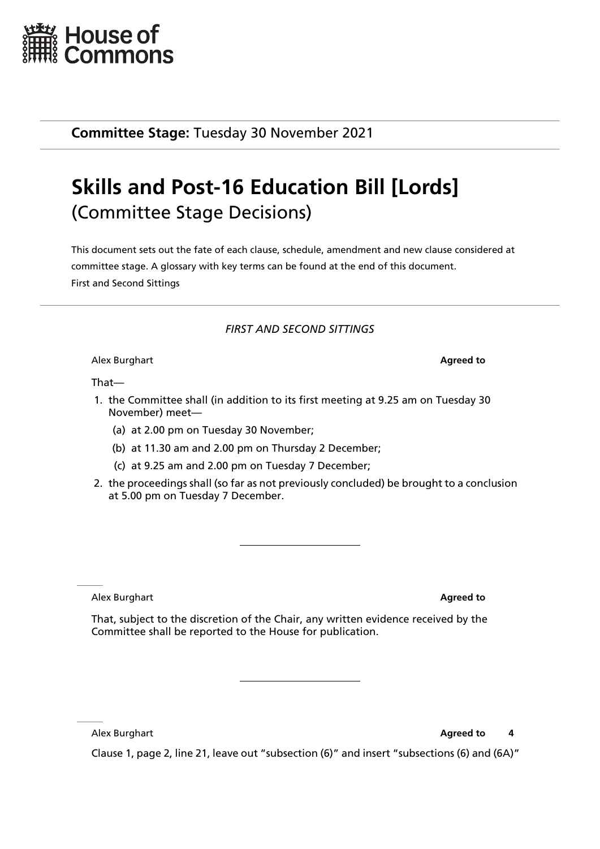

**Committee Stage:** Tuesday 30 November 2021

## **Skills and Post-16 Education Bill [Lords]** (Committee Stage Decisions)

This document sets out the fate of each clause, schedule, amendment and new clause considered at committee stage. A glossary with key terms can be found at the end of this document. First and Second Sittings

## *FIRST AND SECOND SITTINGS*

Alex Burghart **Agreed to**

That—

- 1. the Committee shall (in addition to its first meeting at 9.25 am on Tuesday 30 November) meet—
	- (a) at 2.00 pm on Tuesday 30 November;
	- (b) at 11.30 am and 2.00 pm on Thursday 2 December;
	- (c) at 9.25 am and 2.00 pm on Tuesday 7 December;
- 2. the proceedings shall (so far as not previously concluded) be brought to a conclusion at 5.00 pm on Tuesday 7 December.

Alex Burghart **Agreed to**

That, subject to the discretion of the Chair, any written evidence received by the Committee shall be reported to the House for publication.

Alex Burghart **Agreed to 4** 

Clause 1, page 2, line 21, leave out "subsection (6)" and insert "subsections (6) and (6A)"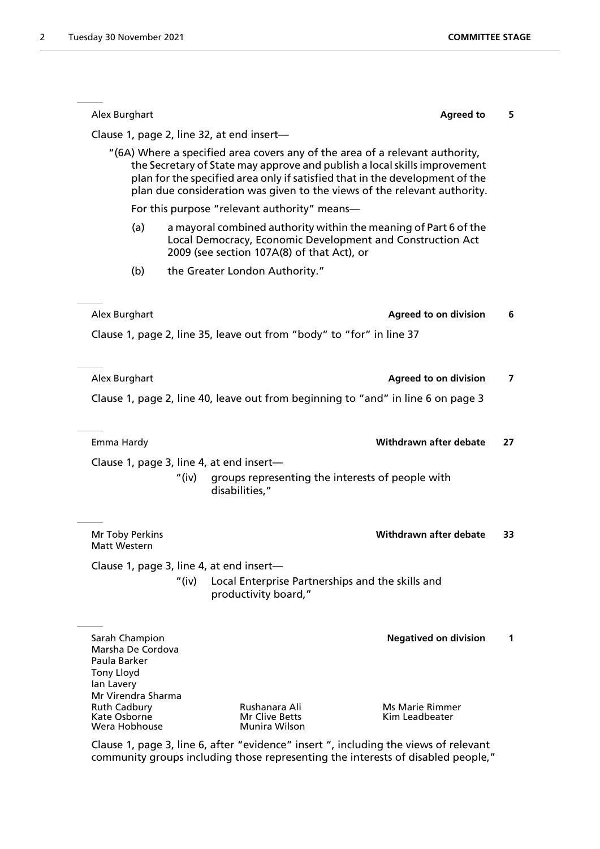| Alex Burghart                                                                                                                                                                       |       |                                                                              | <b>Agreed to</b>                                                                                                                                                                                                                      |    |
|-------------------------------------------------------------------------------------------------------------------------------------------------------------------------------------|-------|------------------------------------------------------------------------------|---------------------------------------------------------------------------------------------------------------------------------------------------------------------------------------------------------------------------------------|----|
|                                                                                                                                                                                     |       | Clause 1, page 2, line 32, at end insert-                                    |                                                                                                                                                                                                                                       |    |
|                                                                                                                                                                                     |       | "(6A) Where a specified area covers any of the area of a relevant authority, | the Secretary of State may approve and publish a local skills improvement<br>plan for the specified area only if satisfied that in the development of the<br>plan due consideration was given to the views of the relevant authority. |    |
|                                                                                                                                                                                     |       | For this purpose "relevant authority" means-                                 |                                                                                                                                                                                                                                       |    |
| (a)<br>a mayoral combined authority within the meaning of Part 6 of the<br>Local Democracy, Economic Development and Construction Act<br>2009 (see section 107A(8) of that Act), or |       |                                                                              |                                                                                                                                                                                                                                       |    |
| (b)                                                                                                                                                                                 |       | the Greater London Authority."                                               |                                                                                                                                                                                                                                       |    |
| Alex Burghart                                                                                                                                                                       |       |                                                                              | <b>Agreed to on division</b>                                                                                                                                                                                                          |    |
|                                                                                                                                                                                     |       | Clause 1, page 2, line 35, leave out from "body" to "for" in line 37         |                                                                                                                                                                                                                                       |    |
| Alex Burghart                                                                                                                                                                       |       |                                                                              | <b>Agreed to on division</b>                                                                                                                                                                                                          |    |
|                                                                                                                                                                                     |       |                                                                              | Clause 1, page 2, line 40, leave out from beginning to "and" in line 6 on page 3                                                                                                                                                      |    |
|                                                                                                                                                                                     |       |                                                                              |                                                                                                                                                                                                                                       |    |
| Emma Hardy                                                                                                                                                                          |       |                                                                              | Withdrawn after debate                                                                                                                                                                                                                | 27 |
|                                                                                                                                                                                     |       | Clause 1, page 3, line 4, at end insert-                                     |                                                                                                                                                                                                                                       |    |
|                                                                                                                                                                                     | "(iv) | groups representing the interests of people with<br>disabilities,"           |                                                                                                                                                                                                                                       |    |
| Mr Toby Perkins<br>Matt Western                                                                                                                                                     |       |                                                                              | <b>Withdrawn after debate</b>                                                                                                                                                                                                         | 33 |
|                                                                                                                                                                                     |       | Clause 1, page 3, line 4, at end insert-                                     |                                                                                                                                                                                                                                       |    |
|                                                                                                                                                                                     | "(iv) | Local Enterprise Partnerships and the skills and<br>productivity board,"     |                                                                                                                                                                                                                                       |    |
|                                                                                                                                                                                     |       |                                                                              |                                                                                                                                                                                                                                       |    |
| Sarah Champion<br>Marsha De Cordova<br>Paula Barker<br><b>Tony Lloyd</b>                                                                                                            |       |                                                                              | <b>Negatived on division</b>                                                                                                                                                                                                          |    |
| lan Lavery                                                                                                                                                                          |       |                                                                              |                                                                                                                                                                                                                                       |    |
| Mr Virendra Sharma<br><b>Ruth Cadbury</b><br>Kate Osborne                                                                                                                           |       | Rushanara Ali<br><b>Mr Clive Betts</b>                                       | <b>Ms Marie Rimmer</b><br>Kim Leadbeater                                                                                                                                                                                              |    |

Clause 1, page 3, line 6, after "evidence" insert ", including the views of relevant community groups including those representing the interests of disabled people,"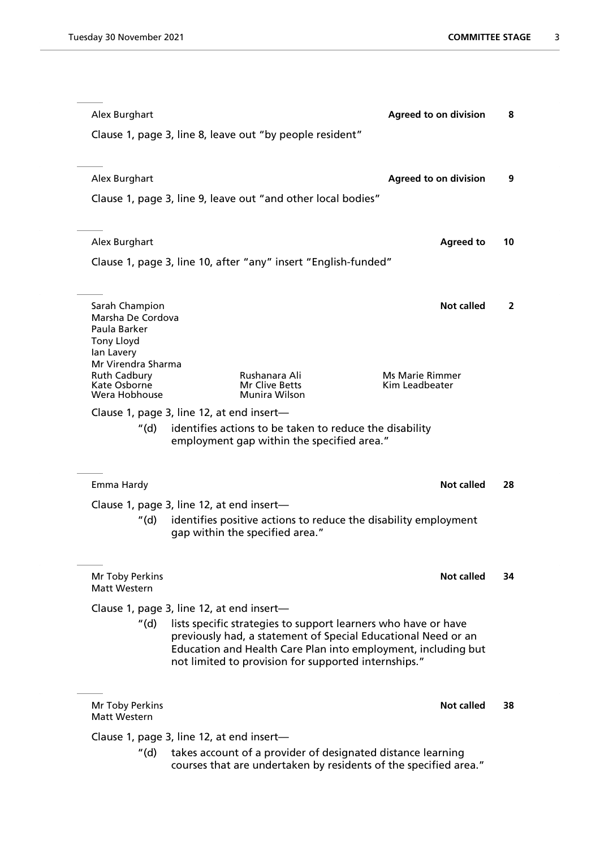| Alex Burghart                             |                                                                | <b>Agreed to on division</b>                                     | 8              |
|-------------------------------------------|----------------------------------------------------------------|------------------------------------------------------------------|----------------|
|                                           | Clause 1, page 3, line 8, leave out "by people resident"       |                                                                  |                |
|                                           |                                                                |                                                                  |                |
| Alex Burghart                             |                                                                | <b>Agreed to on division</b>                                     | 9              |
|                                           | Clause 1, page 3, line 9, leave out "and other local bodies"   |                                                                  |                |
|                                           |                                                                |                                                                  |                |
| Alex Burghart                             |                                                                | <b>Agreed to</b>                                                 | 10             |
|                                           | Clause 1, page 3, line 10, after "any" insert "English-funded" |                                                                  |                |
|                                           |                                                                |                                                                  |                |
| Sarah Champion                            |                                                                | <b>Not called</b>                                                | $\overline{2}$ |
| Marsha De Cordova<br>Paula Barker         |                                                                |                                                                  |                |
| <b>Tony Lloyd</b><br>lan Lavery           |                                                                |                                                                  |                |
| Mr Virendra Sharma<br><b>Ruth Cadbury</b> | Rushanara Ali                                                  | Ms Marie Rimmer                                                  |                |
| Kate Osborne<br>Wera Hobhouse             | Mr Clive Betts<br><b>Munira Wilson</b>                         | Kim Leadbeater                                                   |                |
|                                           | Clause 1, page 3, line 12, at end insert-                      |                                                                  |                |
| "(d)                                      | identifies actions to be taken to reduce the disability        |                                                                  |                |
|                                           | employment gap within the specified area."                     |                                                                  |                |
| Emma Hardy                                |                                                                | Not called                                                       | 28             |
|                                           | Clause 1, page 3, line 12, at end insert-                      |                                                                  |                |
| "(d) ·                                    |                                                                | identifies positive actions to reduce the disability employment  |                |
|                                           | gap within the specified area."                                |                                                                  |                |
|                                           |                                                                |                                                                  |                |
| Mr Toby Perkins<br>Matt Western           |                                                                | Not called                                                       | 34             |
|                                           | Clause 1, page 3, line 12, at end insert-                      |                                                                  |                |
| "(d)                                      | lists specific strategies to support learners who have or have | previously had, a statement of Special Educational Need or an    |                |
|                                           |                                                                | Education and Health Care Plan into employment, including but    |                |
|                                           | not limited to provision for supported internships."           |                                                                  |                |
|                                           |                                                                |                                                                  |                |
| Mr Toby Perkins<br>Matt Western           |                                                                | Not called                                                       | 38             |
|                                           | Clause 1, page 3, line 12, at end insert-                      |                                                                  |                |
| "(d)                                      | takes account of a provider of designated distance learning    | courses that are undertaken by residents of the specified area." |                |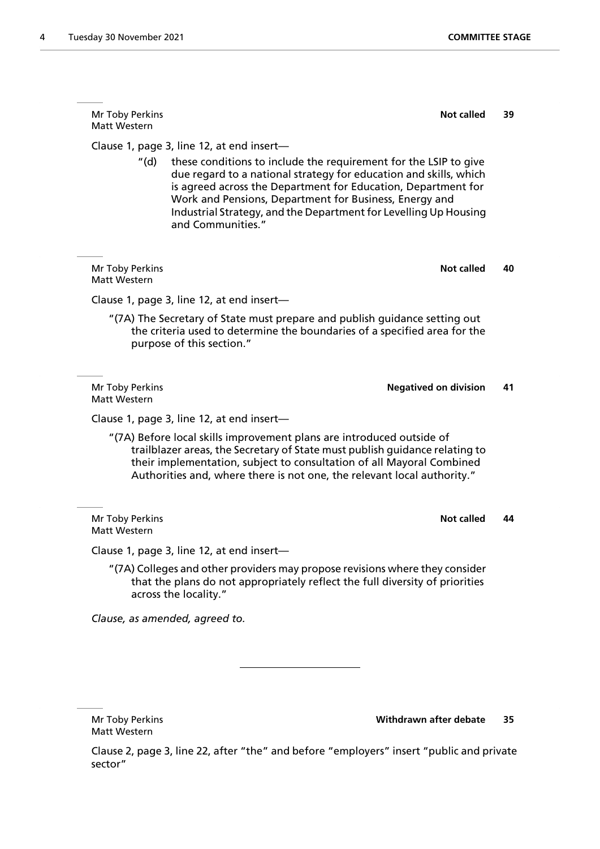Mr Toby Perkins **Not called** 39 Matt Western Clause 1, page 3, line 12, at end insert— "(d) these conditions to include the requirement for the LSIP to give due regard to a national strategy for education and skills, which is agreed across the Department for Education, Department for Work and Pensions, Department for Business, Energy and Industrial Strategy, and the Department for Levelling Up Housing and Communities." **Mr Toby Perkins <b>Not called** 40 Matt Western Clause 1, page 3, line 12, at end insert— "(7A) The Secretary of State must prepare and publish guidance setting out the criteria used to determine the boundaries of a specified area for the purpose of this section." Mr Toby Perkins **Negatived on division 41** Matt Western Clause 1, page 3, line 12, at end insert— "(7A) Before local skills improvement plans are introduced outside of trailblazer areas, the Secretary of State must publish guidance relating to their implementation, subject to consultation of all Mayoral Combined Authorities and, where there is not one, the relevant local authority." **Mr Toby Perkins <b>Not called** 44 Matt Western Clause 1, page 3, line 12, at end insert—

"(7A) Colleges and other providers may propose revisions where they consider that the plans do not appropriately reflect the full diversity of priorities across the locality."

*Clause, as amended, agreed to.*

Matt Western

Mr Toby Perkins **Withdrawn after debate 35**

Clause 2, page 3, line 22, after "the" and before "employers" insert "public and private sector"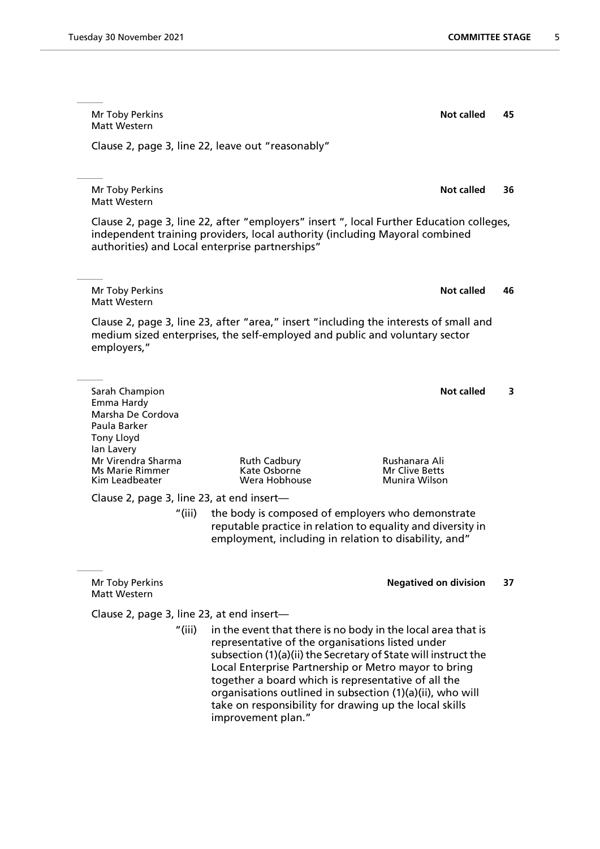Mr Toby Perkins **Not called** 45 Matt Western Clause 2, page 3, line 22, leave out "reasonably" Mr Toby Perkins **Not called** 36 Matt Western Clause 2, page 3, line 22, after "employers" insert ", local Further Education colleges, independent training providers, local authority (including Mayoral combined authorities) and Local enterprise partnerships" Mr Toby Perkins **Not called** 46 Matt Western Clause 2, page 3, line 23, after "area," insert "including the interests of small and medium sized enterprises, the self-employed and public and voluntary sector employers," **Sarah Champion Not called** 3 Emma Hardy Marsha De Cordova Paula Barker Tony Lloyd Ian Lavery Mr Virendra Sharma Ruth Cadbury Rushanara Ali Ms Marie Rimmer Kate Osborne<br>1991 - Kim Leadbeater Mar Corea Hobhouse **Munira Wilson** Clause 2, page 3, line 23, at end insert— "(iii) the body is composed of employers who demonstrate reputable practice in relation to equality and diversity in employment, including in relation to disability, and" Mr Toby Perkins **Negatived on division 37** Matt Western Clause 2, page 3, line 23, at end insert— "(iii) in the event that there is no body in the local area that is representative of the organisations listed under subsection (1)(a)(ii) the Secretary of State will instruct the Local Enterprise Partnership or Metro mayor to bring

> take on responsibility for drawing up the local skills improvement plan."

together a board which is representative of all the organisations outlined in subsection (1)(a)(ii), who will